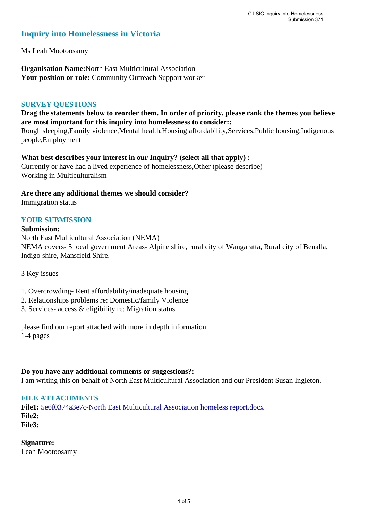# **Inquiry into Homelessness in Victoria**

Ms Leah Mootoosamy

**Organisation Name:**North East Multicultural Association **Your position or role:** Community Outreach Support worker

### **SURVEY QUESTIONS**

# **Drag the statements below to reorder them. In order of priority, please rank the themes you believe are most important for this inquiry into homelessness to consider::**

Rough sleeping,Family violence,Mental health,Housing affordability,Services,Public housing,Indigenous people,Employment

# **What best describes your interest in our Inquiry? (select all that apply) :**

Currently or have had a lived experience of homelessness,Other (please describe) Working in Multiculturalism

### **Are there any additional themes we should consider?**

Immigration status

# **YOUR SUBMISSION**

#### **Submission:**

North East Multicultural Association (NEMA) NEMA covers- 5 local government Areas- Alpine shire, rural city of Wangaratta, Rural city of Benalla, Indigo shire, Mansfield Shire.

3 Key issues

1. Overcrowding- Rent affordability/inadequate housing

- 2. Relationships problems re: Domestic/family Violence
- 3. Services- access & eligibility re: Migration status

please find our report attached with more in depth information. 1-4 pages

#### **Do you have any additional comments or suggestions?:**

I am writing this on behalf of North East Multicultural Association and our President Susan Ingleton.

# **FILE ATTACHMENTS**

**File1:** [5e6f0374a3e7c-North East Multicultural Association homeless report.docx](https://www.parliament.vic.gov.au/component/rsform/submission-view-file/26d5ba80978f4aef415ee88ffbb7e5ea/20c32a1395e6af08ef07ad95394995da?Itemid=527) **File2: File3:** 

# **Signature:**

Leah Mootoosamy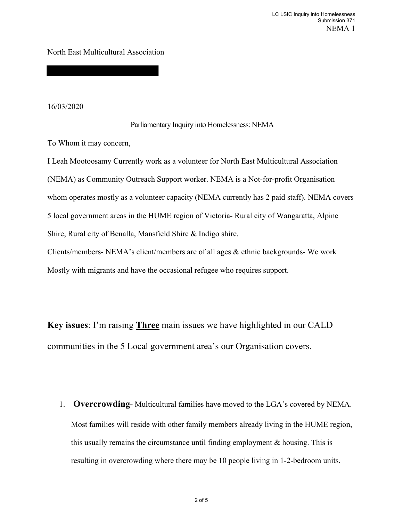North East Multicultural Association

16/03/2020

#### Parliamentary Inquiry into Homelessness: NEMA

To Whom it may concern,

I Leah Mootoosamy Currently work as a volunteer for North East Multicultural Association (NEMA) as Community Outreach Support worker. NEMA is a Not-for-profit Organisation whom operates mostly as a volunteer capacity (NEMA currently has 2 paid staff). NEMA covers 5 local government areas in the HUME region of Victoria- Rural city of Wangaratta, Alpine Shire, Rural city of Benalla, Mansfield Shire & Indigo shire. Clients/members- NEMA's client/members are of all ages & ethnic backgrounds- We work Mostly with migrants and have the occasional refugee who requires support.

**Key issues**: I'm raising **Three** main issues we have highlighted in our CALD communities in the 5 Local government area's our Organisation covers.

1. **Overcrowding-** Multicultural families have moved to the LGA's covered by NEMA. Most families will reside with other family members already living in the HUME region, this usually remains the circumstance until finding employment & housing. This is resulting in overcrowding where there may be 10 people living in 1-2-bedroom units.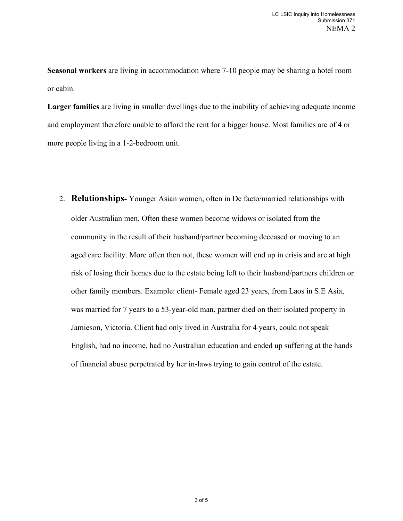**Seasonal workers** are living in accommodation where 7-10 people may be sharing a hotel room or cabin.

**Larger families** are living in smaller dwellings due to the inability of achieving adequate income and employment therefore unable to afford the rent for a bigger house. Most families are of 4 or more people living in a 1-2-bedroom unit.

2. **Relationships-** Younger Asian women, often in De facto/married relationships with older Australian men. Often these women become widows or isolated from the community in the result of their husband/partner becoming deceased or moving to an aged care facility. More often then not, these women will end up in crisis and are at high risk of losing their homes due to the estate being left to their husband/partners children or other family members. Example: client- Female aged 23 years, from Laos in S.E Asia, was married for 7 years to a 53-year-old man, partner died on their isolated property in Jamieson, Victoria. Client had only lived in Australia for 4 years, could not speak English, had no income, had no Australian education and ended up suffering at the hands of financial abuse perpetrated by her in-laws trying to gain control of the estate.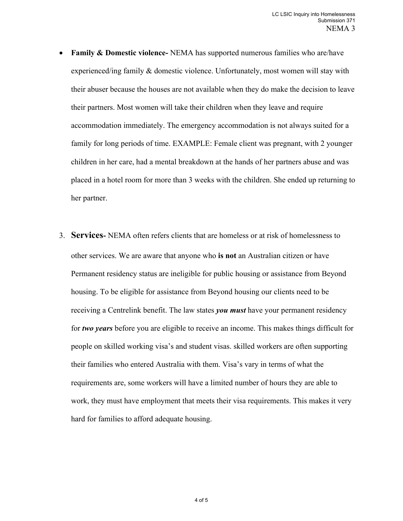- **Family & Domestic violence-** NEMA has supported numerous families who are/have experienced/ing family & domestic violence. Unfortunately, most women will stay with their abuser because the houses are not available when they do make the decision to leave their partners. Most women will take their children when they leave and require accommodation immediately. The emergency accommodation is not always suited for a family for long periods of time. EXAMPLE: Female client was pregnant, with 2 younger children in her care, had a mental breakdown at the hands of her partners abuse and was placed in a hotel room for more than 3 weeks with the children. She ended up returning to her partner.
- 3. **Services-** NEMA often refers clients that are homeless or at risk of homelessness to other services. We are aware that anyone who **is not** an Australian citizen or have Permanent residency status are ineligible for public housing or assistance from Beyond housing. To be eligible for assistance from Beyond housing our clients need to be receiving a Centrelink benefit. The law states *you must* have your permanent residency for *two years* before you are eligible to receive an income. This makes things difficult for people on skilled working visa's and student visas. skilled workers are often supporting their families who entered Australia with them. Visa's vary in terms of what the requirements are, some workers will have a limited number of hours they are able to work, they must have employment that meets their visa requirements. This makes it very hard for families to afford adequate housing.